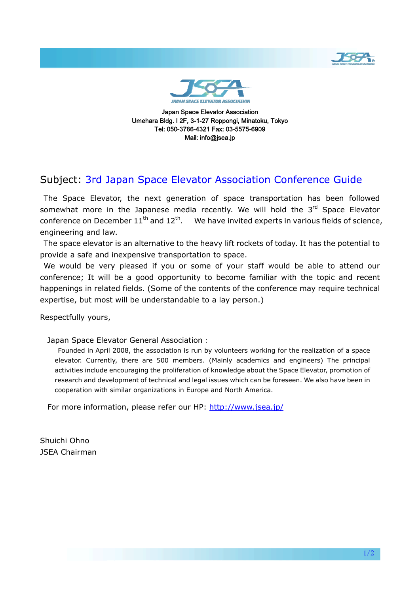

Japan Space Elevator Association Umehara Bldg. I 2F, 3-1-27 Roppongi, Minatoku, Tokyo Tel: 050-3786-4321 Fax: 03-5575-6909 Mail: info@jsea.jp

### Subject: 3rd Japan Space Elevator Association Conference Guide

 The Space Elevator, the next generation of space transportation has been followed somewhat more in the Japanese media recently. We will hold the 3<sup>rd</sup> Space Elevator conference on December  $11<sup>th</sup>$  and  $12<sup>th</sup>$ . We have invited experts in various fields of science, engineering and law.

 The space elevator is an alternative to the heavy lift rockets of today. It has the potential to provide a safe and inexpensive transportation to space.

 We would be very pleased if you or some of your staff would be able to attend our conference; It will be a good opportunity to become familiar with the topic and recent happenings in related fields. (Some of the contents of the conference may require technical expertise, but most will be understandable to a lay person.)

Respectfully yours,

Japan Space Elevator General Association:

 Founded in April 2008, the association is run by volunteers working for the realization of a space elevator. Currently, there are 500 members. (Mainly academics and engineers) The principal activities include encouraging the proliferation of knowledge about the Space Elevator, promotion of research and development of technical and legal issues which can be foreseen. We also have been in cooperation with similar organizations in Europe and North America.

For more information, please refer our HP: <http://www.jsea.jp/>

Shuichi Ohno JSEA Chairman